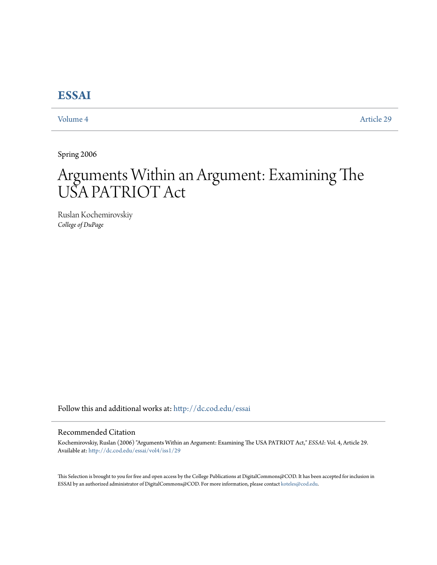# **[ESSAI](http://dc.cod.edu/essai?utm_source=dc.cod.edu%2Fessai%2Fvol4%2Fiss1%2F29&utm_medium=PDF&utm_campaign=PDFCoverPages)**

[Volume 4](http://dc.cod.edu/essai/vol4?utm_source=dc.cod.edu%2Fessai%2Fvol4%2Fiss1%2F29&utm_medium=PDF&utm_campaign=PDFCoverPages) [Article 29](http://dc.cod.edu/essai/vol4/iss1/29?utm_source=dc.cod.edu%2Fessai%2Fvol4%2Fiss1%2F29&utm_medium=PDF&utm_campaign=PDFCoverPages)

Spring 2006

# Arguments Within an Argument: Examining The USA PATRIOT Act

Ruslan Kochemirovskiy *College of DuPage*

Follow this and additional works at: [http://dc.cod.edu/essai](http://dc.cod.edu/essai?utm_source=dc.cod.edu%2Fessai%2Fvol4%2Fiss1%2F29&utm_medium=PDF&utm_campaign=PDFCoverPages)

## Recommended Citation

Kochemirovskiy, Ruslan (2006) "Arguments Within an Argument: Examining The USA PATRIOT Act," *ESSAI*: Vol. 4, Article 29. Available at: [http://dc.cod.edu/essai/vol4/iss1/29](http://dc.cod.edu/essai/vol4/iss1/29?utm_source=dc.cod.edu%2Fessai%2Fvol4%2Fiss1%2F29&utm_medium=PDF&utm_campaign=PDFCoverPages)

This Selection is brought to you for free and open access by the College Publications at DigitalCommons@COD. It has been accepted for inclusion in ESSAI by an authorized administrator of DigitalCommons@COD. For more information, please contact [koteles@cod.edu](mailto:koteles@cod.edu).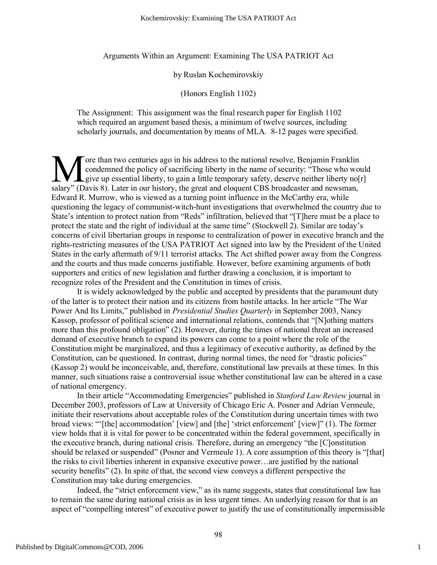Arguments Within an Argument: Examining The USA PATRIOT Act

## by Ruslan Kochemirovskiy

## (Honors English 1102)

The Assignment: This assignment was the final research paper for English 1102 which required an argument based thesis, a minimum of twelve sources, including scholarly journals, and documentation by means of MLA. 8-12 pages were specified.

ore than two centuries ago in his address to the national resolve, Benjamin Franklin condemned the policy of sacrificing liberty in the name of security: "Those who would give up essential liberty, to gain a little temporary safety, deserve neither liberty no[r] salary" (Davis 8). Later in our history, the great and eloquent CBS broadcaster and newsman, Edward R. Murrow, who is viewed as a turning point influence in the McCarthy era, while questioning the legacy of communist-witch-hunt investigations that overwhelmed the country due to State's intention to protect nation from "Reds" infiltration, believed that "[T]here must be a place to protect the state and the right of individual at the same time" (Stockwell 2). Similar are today's concerns of civil libertarian groups in response to centralization of power in executive branch and the rights-restricting measures of the USA PATRIOT Act signed into law by the President of the United States in the early aftermath of 9/11 terrorist attacks. The Act shifted power away from the Congress and the courts and thus made concerns justifiable. However, before examining arguments of both supporters and critics of new legislation and further drawing a conclusion, it is important to recognize roles of the President and the Constitution in times of crisis.  $\prod_{\text{salary}^n \cup \text{D}}$ 

It is widely acknowledged by the public and accepted by presidents that the paramount duty of the latter is to protect their nation and its citizens from hostile attacks. In her article "The War Power And Its Limits," published in *Presidential Studies Quarterly* in September 2003, Nancy Kassop, professor of political science and international relations, contends that "[N]othing matters more than this profound obligation" (2). However, during the times of national threat an increased demand of executive branch to expand its powers can come to a point where the role of the Constitution might be marginalized, and thus a legitimacy of executive authority, as defined by the Constitution, can be questioned. In contrast, during normal times, the need for "drastic policies" (Kassop 2) would be inconceivable, and, therefore, constitutional law prevails at these times. In this manner, such situations raise a controversial issue whether constitutional law can be altered in a case of national emergency.

In their article "Accommodating Emergencies" published in *Stanford Law Review* journal in December 2003, professors of Law at University of Chicago Eric A. Posner and Adrian Vermeule, initiate their reservations about acceptable roles of the Constitution during uncertain times with two broad views: "'[the] accommodation' [view] and [the] 'strict enforcement' [view]" (1). The former view holds that it is vital for power to be concentrated within the federal government, specifically in the executive branch, during national crisis. Therefore, during an emergency "the [C]onstitution should be relaxed or suspended" (Posner and Vermeule 1). A core assumption of this theory is "[that] the risks to civil liberties inherent in expansive executive power…are justified by the national security benefits" (2). In spite of that, the second view conveys a different perspective the Constitution may take during emergencies.

Indeed, the "strict enforcement view," as its name suggests, states that constitutional law has to remain the same during national crisis as in less urgent times. An underlying reason for that is an aspect of "compelling interest" of executive power to justify the use of constitutionally impermissible

1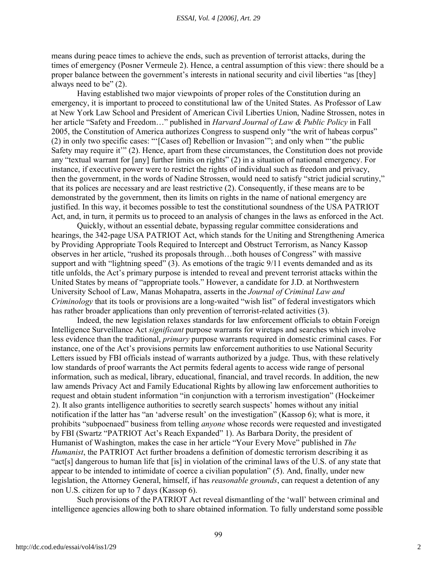means during peace times to achieve the ends, such as prevention of terrorist attacks, during the times of emergency (Posner Vermeule 2). Hence, a central assumption of this view: there should be a proper balance between the government's interests in national security and civil liberties "as [they] always need to be" (2).

Having established two major viewpoints of proper roles of the Constitution during an emergency, it is important to proceed to constitutional law of the United States. As Professor of Law at New York Law School and President of American Civil Liberties Union, Nadine Strossen, notes in her article "Safety and Freedom…" published in *Harvard Journal of Law & Public Policy* in Fall 2005, the Constitution of America authorizes Congress to suspend only "the writ of habeas corpus" (2) in only two specific cases: "'[Cases of] Rebellion or Invasion'"; and only when "'the public Safety may require it'" (2). Hence, apart from these circumstances, the Constitution does not provide any "textual warrant for [any] further limits on rights" (2) in a situation of national emergency. For instance, if executive power were to restrict the rights of individual such as freedom and privacy, then the government, in the words of Nadine Strossen, would need to satisfy "strict judicial scrutiny," that its polices are necessary and are least restrictive (2). Consequently, if these means are to be demonstrated by the government, then its limits on rights in the name of national emergency are justified. In this way, it becomes possible to test the constitutional soundness of the USA PATRIOT Act, and, in turn, it permits us to proceed to an analysis of changes in the laws as enforced in the Act.

Quickly, without an essential debate, bypassing regular committee considerations and hearings, the 342-page USA PATRIOT Act, which stands for the Uniting and Strengthening America by Providing Appropriate Tools Required to Intercept and Obstruct Terrorism, as Nancy Kassop observes in her article, "rushed its proposals through…both houses of Congress" with massive support and with "lightning speed" (3). As emotions of the tragic 9/11 events demanded and as its title unfolds, the Act's primary purpose is intended to reveal and prevent terrorist attacks within the United States by means of "appropriate tools." However, a candidate for J.D. at Northwestern University School of Law, Manas Mohapatra, asserts in the *Journal of Criminal Law and Criminology* that its tools or provisions are a long-waited "wish list" of federal investigators which has rather broader applications than only prevention of terrorist-related activities (3).

Indeed, the new legislation relaxes standards for law enforcement officials to obtain Foreign Intelligence Surveillance Act *significant* purpose warrants for wiretaps and searches which involve less evidence than the traditional, *primary* purpose warrants required in domestic criminal cases. For instance, one of the Act's provisions permits law enforcement authorities to use National Security Letters issued by FBI officials instead of warrants authorized by a judge. Thus, with these relatively low standards of proof warrants the Act permits federal agents to access wide range of personal information, such as medical, library, educational, financial, and travel records. In addition, the new law amends Privacy Act and Family Educational Rights by allowing law enforcement authorities to request and obtain student information "in conjunction with a terrorism investigation" (Hockeimer 2). It also grants intelligence authorities to secretly search suspects' homes without any initial notification if the latter has "an 'adverse result' on the investigation" (Kassop 6); what is more, it prohibits "subpoenaed" business from telling *anyone* whose records were requested and investigated by FBI (Swartz "PATRIOT Act's Reach Expanded" 1). As Barbara Dority, the president of Humanist of Washington, makes the case in her article "Your Every Move" published in *The Humanist*, the PATRIOT Act further broadens a definition of domestic terrorism describing it as "act[s] dangerous to human life that [is] in violation of the criminal laws of the U.S. of any state that appear to be intended to intimidate of coerce a civilian population" (5). And, finally, under new legislation, the Attorney General, himself, if has *reasonable grounds*, can request a detention of any non U.S. citizen for up to 7 days (Kassop 6).

Such provisions of the PATRIOT Act reveal dismantling of the 'wall' between criminal and intelligence agencies allowing both to share obtained information. To fully understand some possible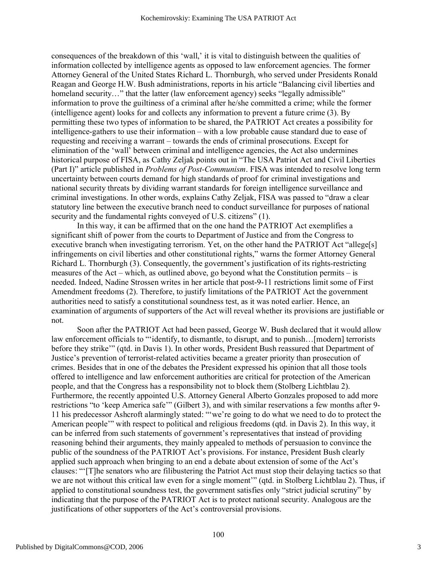consequences of the breakdown of this 'wall,' it is vital to distinguish between the qualities of information collected by intelligence agents as opposed to law enforcement agencies. The former Attorney General of the United States Richard L. Thornburgh, who served under Presidents Ronald Reagan and George H.W. Bush administrations, reports in his article "Balancing civil liberties and homeland security..." that the latter (law enforcement agency) seeks "legally admissible" information to prove the guiltiness of a criminal after he/she committed a crime; while the former (intelligence agent) looks for and collects any information to prevent a future crime (3). By permitting these two types of information to be shared, the PATRIOT Act creates a possibility for intelligence-gathers to use their information – with a low probable cause standard due to ease of requesting and receiving a warrant – towards the ends of criminal prosecutions. Except for elimination of the 'wall' between criminal and intelligence agencies, the Act also undermines historical purpose of FISA, as Cathy Zeljak points out in "The USA Patriot Act and Civil Liberties (Part I)" article published in *Problems of Post-Communism*. FISA was intended to resolve long term uncertainty between courts demand for high standards of proof for criminal investigations and national security threats by dividing warrant standards for foreign intelligence surveillance and criminal investigations. In other words, explains Cathy Zeljak, FISA was passed to "draw a clear statutory line between the executive branch need to conduct surveillance for purposes of national security and the fundamental rights conveyed of U.S. citizens" (1).

In this way, it can be affirmed that on the one hand the PATRIOT Act exemplifies a significant shift of power from the courts to Department of Justice and from the Congress to executive branch when investigating terrorism. Yet, on the other hand the PATRIOT Act "allege[s] infringements on civil liberties and other constitutional rights," warns the former Attorney General Richard L. Thornburgh (3). Consequently, the government's justification of its rights-restricting measures of the Act – which, as outlined above, go beyond what the Constitution permits – is needed. Indeed, Nadine Strossen writes in her article that post-9-11 restrictions limit some of First Amendment freedoms (2). Therefore, to justify limitations of the PATRIOT Act the government authorities need to satisfy a constitutional soundness test, as it was noted earlier. Hence, an examination of arguments of supporters of the Act will reveal whether its provisions are justifiable or not.

Soon after the PATRIOT Act had been passed, George W. Bush declared that it would allow law enforcement officials to "'identify, to dismantle, to disrupt, and to punish...[modern] terrorists before they strike'" (qtd. in Davis 1). In other words, President Bush reassured that Department of Justice's prevention of terrorist-related activities became a greater priority than prosecution of crimes. Besides that in one of the debates the President expressed his opinion that all those tools offered to intelligence and law enforcement authorities are critical for protection of the American people, and that the Congress has a responsibility not to block them (Stolberg Lichtblau 2). Furthermore, the recently appointed U.S. Attorney General Alberto Gonzales proposed to add more restrictions "to 'keep America safe'" (Gilbert 3), and with similar reservations a few months after 9- 11 his predecessor Ashcroft alarmingly stated: "'we're going to do what we need to do to protect the American people'" with respect to political and religious freedoms (qtd. in Davis 2). In this way, it can be inferred from such statements of government's representatives that instead of providing reasoning behind their arguments, they mainly appealed to methods of persuasion to convince the public of the soundness of the PATRIOT Act's provisions. For instance, President Bush clearly applied such approach when bringing to an end a debate about extension of some of the Act's clauses: "'[T]he senators who are filibustering the Patriot Act must stop their delaying tactics so that we are not without this critical law even for a single moment'" (qtd. in Stolberg Lichtblau 2). Thus, if applied to constitutional soundness test, the government satisfies only "strict judicial scrutiny" by indicating that the purpose of the PATRIOT Act is to protect national security. Analogous are the justifications of other supporters of the Act's controversial provisions.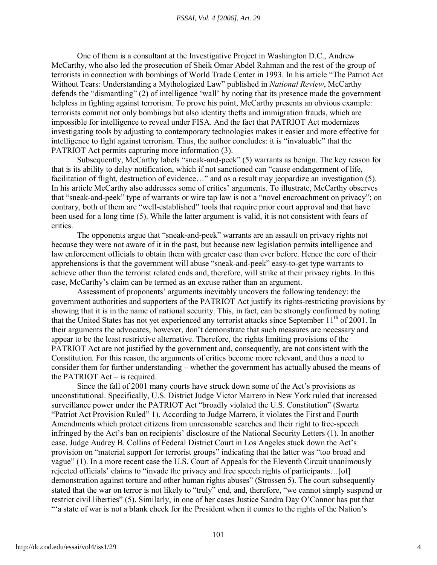One of them is a consultant at the Investigative Project in Washington D.C., Andrew McCarthy, who also led the prosecution of Sheik Omar Abdel Rahman and the rest of the group of terrorists in connection with bombings of World Trade Center in 1993. In his article "The Patriot Act Without Tears: Understanding a Mythologized Law" published in *National Review*, McCarthy defends the "dismantling" (2) of intelligence 'wall' by noting that its presence made the government helpless in fighting against terrorism. To prove his point, McCarthy presents an obvious example: terrorists commit not only bombings but also identity thefts and immigration frauds, which are impossible for intelligence to reveal under FISA. And the fact that PATRIOT Act modernizes investigating tools by adjusting to contemporary technologies makes it easier and more effective for intelligence to fight against terrorism. Thus, the author concludes: it is "invaluable" that the PATRIOT Act permits capturing more information (3).

Subsequently, McCarthy labels "sneak-and-peek" (5) warrants as benign. The key reason for that is its ability to delay notification, which if not sanctioned can "cause endangerment of life, facilitation of flight, destruction of evidence…" and as a result may jeopardize an investigation (5). In his article McCarthy also addresses some of critics' arguments. To illustrate, McCarthy observes that "sneak-and-peek" type of warrants or wire tap law is not a "novel encroachment on privacy"; on contrary, both of them are "well-established" tools that require prior court approval and that have been used for a long time (5). While the latter argument is valid, it is not consistent with fears of critics.

The opponents argue that "sneak-and-peek" warrants are an assault on privacy rights not because they were not aware of it in the past, but because new legislation permits intelligence and law enforcement officials to obtain them with greater ease than ever before. Hence the core of their apprehensions is that the government will abuse "sneak-and-peek" easy-to-get type warrants to achieve other than the terrorist related ends and, therefore, will strike at their privacy rights. In this case, McCarthy's claim can be termed as an excuse rather than an argument.

Assessment of proponents' arguments inevitably uncovers the following tendency: the government authorities and supporters of the PATRIOT Act justify its rights-restricting provisions by showing that it is in the name of national security. This, in fact, can be strongly confirmed by noting that the United States has not yet experienced any terrorist attacks since September 11<sup>th</sup> of 2001. In their arguments the advocates, however, don't demonstrate that such measures are necessary and appear to be the least restrictive alternative. Therefore, the rights limiting provisions of the PATRIOT Act are not justified by the government and, consequently, are not consistent with the Constitution. For this reason, the arguments of critics become more relevant, and thus a need to consider them for further understanding – whether the government has actually abused the means of the PATRIOT Act – is required.

Since the fall of 2001 many courts have struck down some of the Act's provisions as unconstitutional. Specifically, U.S. District Judge Victor Marrero in New York ruled that increased surveillance power under the PATRIOT Act "broadly violated the U.S. Constitution" (Swartz "Patriot Act Provision Ruled" 1). According to Judge Marrero, it violates the First and Fourth Amendments which protect citizens from unreasonable searches and their right to free-speech infringed by the Act's ban on recipients' disclosure of the National Security Letters (1). In another case, Judge Audrey B. Collins of Federal District Court in Los Angeles stuck down the Act's provision on "material support for terrorist groups" indicating that the latter was "too broad and vague" (1). In a more recent case the U.S. Court of Appeals for the Eleventh Circuit unanimously rejected officials' claims to "invade the privacy and free speech rights of participants…[of] demonstration against torture and other human rights abuses" (Strossen 5). The court subsequently stated that the war on terror is not likely to "truly" end, and, therefore, "we cannot simply suspend or restrict civil liberties" (5). Similarly, in one of her cases Justice Sandra Day O'Connor has put that "'a state of war is not a blank check for the President when it comes to the rights of the Nation's

4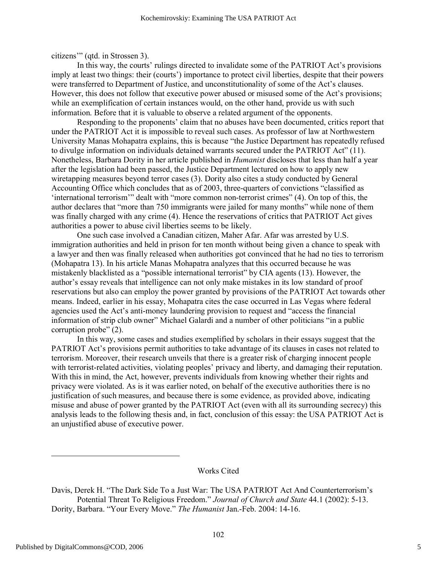citizens'" (qtd. in Strossen 3).

In this way, the courts' rulings directed to invalidate some of the PATRIOT Act's provisions imply at least two things: their (courts') importance to protect civil liberties, despite that their powers were transferred to Department of Justice, and unconstitutionality of some of the Act's clauses. However, this does not follow that executive power abused or misused some of the Act's provisions; while an exemplification of certain instances would, on the other hand, provide us with such information. Before that it is valuable to observe a related argument of the opponents.

Responding to the proponents' claim that no abuses have been documented, critics report that under the PATRIOT Act it is impossible to reveal such cases. As professor of law at Northwestern University Manas Mohapatra explains, this is because "the Justice Department has repeatedly refused to divulge information on individuals detained warrants secured under the PATRIOT Act" (11). Nonetheless, Barbara Dority in her article published in *Humanist* discloses that less than half a year after the legislation had been passed, the Justice Department lectured on how to apply new wiretapping measures beyond terror cases (3). Dority also cites a study conducted by General Accounting Office which concludes that as of 2003, three-quarters of convictions "classified as 'international terrorism'" dealt with "more common non-terrorist crimes" (4). On top of this, the author declares that "more than 750 immigrants were jailed for many months" while none of them was finally charged with any crime (4). Hence the reservations of critics that PATRIOT Act gives authorities a power to abuse civil liberties seems to be likely.

One such case involved a Canadian citizen, Maher Afar. Afar was arrested by U.S. immigration authorities and held in prison for ten month without being given a chance to speak with a lawyer and then was finally released when authorities got convinced that he had no ties to terrorism (Mohapatra 13). In his article Manas Mohapatra analyzes that this occurred because he was mistakenly blacklisted as a "possible international terrorist" by CIA agents (13). However, the author's essay reveals that intelligence can not only make mistakes in its low standard of proof reservations but also can employ the power granted by provisions of the PATRIOT Act towards other means. Indeed, earlier in his essay, Mohapatra cites the case occurred in Las Vegas where federal agencies used the Act's anti-money laundering provision to request and "access the financial information of strip club owner" Michael Galardi and a number of other politicians "in a public corruption probe" (2).

In this way, some cases and studies exemplified by scholars in their essays suggest that the PATRIOT Act's provisions permit authorities to take advantage of its clauses in cases not related to terrorism. Moreover, their research unveils that there is a greater risk of charging innocent people with terrorist-related activities, violating peoples' privacy and liberty, and damaging their reputation. With this in mind, the Act, however, prevents individuals from knowing whether their rights and privacy were violated. As is it was earlier noted, on behalf of the executive authorities there is no justification of such measures, and because there is some evidence, as provided above, indicating misuse and abuse of power granted by the PATRIOT Act (even with all its surrounding secrecy) this analysis leads to the following thesis and, in fact, conclusion of this essay: the USA PATRIOT Act is an unjustified abuse of executive power.

## Works Cited

Davis, Derek H. "The Dark Side To a Just War: The USA PATRIOT Act And Counterterrorism's Potential Threat To Religious Freedom." *Journal of Church and State* 44.1 (2002): 5-13. Dority, Barbara. "Your Every Move." *The Humanist* Jan.-Feb. 2004: 14-16.